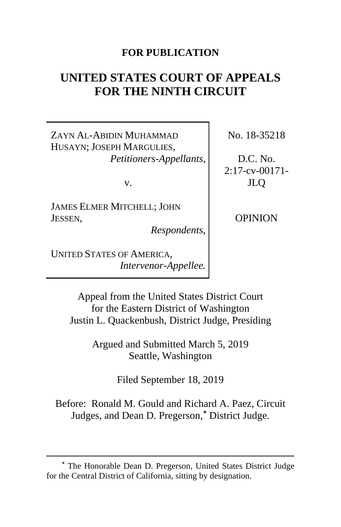# **FOR PUBLICATION**

# **UNITED STATES COURT OF APPEALS FOR THE NINTH CIRCUIT**

ZAYN AL-ABIDIN MUHAMMAD HUSAYN; JOSEPH MARGULIES, *Petitioners-Appellants*,

v.

JAMES ELMER MITCHELL; JOHN JESSEN,

*Respondents*,

UNITED STATES OF AMERICA, *Intervenor-Appellee.* No. 18-35218

D.C. No. 2:17-cv-00171- JLQ

OPINION

Appeal from the United States District Court for the Eastern District of Washington Justin L. Quackenbush, District Judge, Presiding

> Argued and Submitted March 5, 2019 Seattle, Washington

> > Filed September 18, 2019

Before: Ronald M. Gould and Richard A. Paez, Circuit Judges, and Dean D. Pregerson,**[\\*](#page-0-0)** District Judge.

<span id="page-0-0"></span>**<sup>\*</sup>** The Honorable Dean D. Pregerson, United States District Judge for the Central District of California, sitting by designation.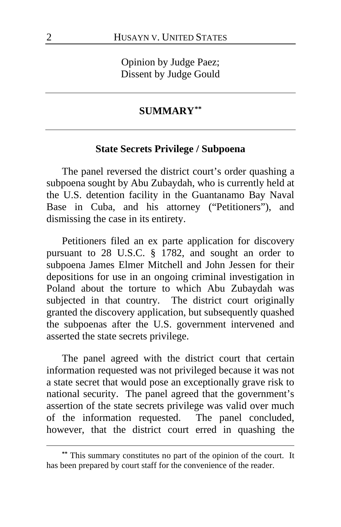Opinion by Judge Paez; Dissent by Judge Gould

## **SUMMARY[\\*\\*](#page-1-0)**

## **State Secrets Privilege / Subpoena**

The panel reversed the district court's order quashing a subpoena sought by Abu Zubaydah, who is currently held at the U.S. detention facility in the Guantanamo Bay Naval Base in Cuba, and his attorney ("Petitioners"), and dismissing the case in its entirety.

Petitioners filed an ex parte application for discovery pursuant to 28 U.S.C. § 1782, and sought an order to subpoena James Elmer Mitchell and John Jessen for their depositions for use in an ongoing criminal investigation in Poland about the torture to which Abu Zubaydah was subjected in that country. The district court originally granted the discovery application, but subsequently quashed the subpoenas after the U.S. government intervened and asserted the state secrets privilege.

The panel agreed with the district court that certain information requested was not privileged because it was not a state secret that would pose an exceptionally grave risk to national security. The panel agreed that the government's assertion of the state secrets privilege was valid over much of the information requested. The panel concluded, however, that the district court erred in quashing the

<span id="page-1-0"></span>**<sup>\*\*</sup>** This summary constitutes no part of the opinion of the court. It has been prepared by court staff for the convenience of the reader.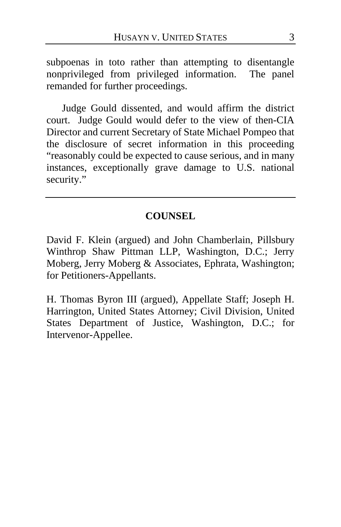subpoenas in toto rather than attempting to disentangle nonprivileged from privileged information. The panel remanded for further proceedings.

Judge Gould dissented, and would affirm the district court. Judge Gould would defer to the view of then-CIA Director and current Secretary of State Michael Pompeo that the disclosure of secret information in this proceeding "reasonably could be expected to cause serious, and in many instances, exceptionally grave damage to U.S. national security."

# **COUNSEL**

David F. Klein (argued) and John Chamberlain, Pillsbury Winthrop Shaw Pittman LLP, Washington, D.C.; Jerry Moberg, Jerry Moberg & Associates, Ephrata, Washington; for Petitioners-Appellants.

H. Thomas Byron III (argued), Appellate Staff; Joseph H. Harrington, United States Attorney; Civil Division, United States Department of Justice, Washington, D.C.; for Intervenor-Appellee.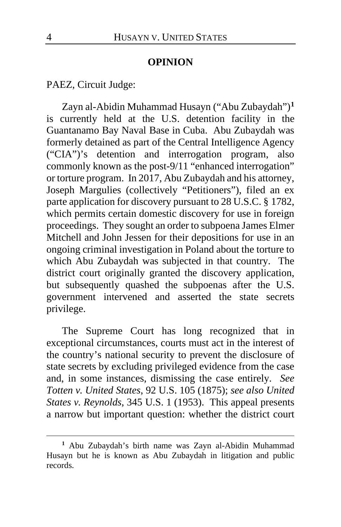## **OPINION**

PAEZ, Circuit Judge:

Zayn al-Abidin Muhammad Husayn ("Abu Zubaydah")**[1](#page-3-0)** is currently held at the U.S. detention facility in the Guantanamo Bay Naval Base in Cuba. Abu Zubaydah was formerly detained as part of the Central Intelligence Agency ("CIA")'s detention and interrogation program, also commonly known as the post-9/11 "enhanced interrogation" or torture program. In 2017, Abu Zubaydah and his attorney, Joseph Margulies (collectively "Petitioners"), filed an ex parte application for discovery pursuant to 28 U.S.C. § 1782, which permits certain domestic discovery for use in foreign proceedings. They sought an order to subpoena James Elmer Mitchell and John Jessen for their depositions for use in an ongoing criminal investigation in Poland about the torture to which Abu Zubaydah was subjected in that country. The district court originally granted the discovery application, but subsequently quashed the subpoenas after the U.S. government intervened and asserted the state secrets privilege.

The Supreme Court has long recognized that in exceptional circumstances, courts must act in the interest of the country's national security to prevent the disclosure of state secrets by excluding privileged evidence from the case and, in some instances, dismissing the case entirely. *See Totten v. United States*, 92 U.S. 105 (1875); *see also United States v. Reynolds*, 345 U.S. 1 (1953). This appeal presents a narrow but important question: whether the district court

<span id="page-3-0"></span>**<sup>1</sup>** Abu Zubaydah's birth name was Zayn al-Abidin Muhammad Husayn but he is known as Abu Zubaydah in litigation and public records.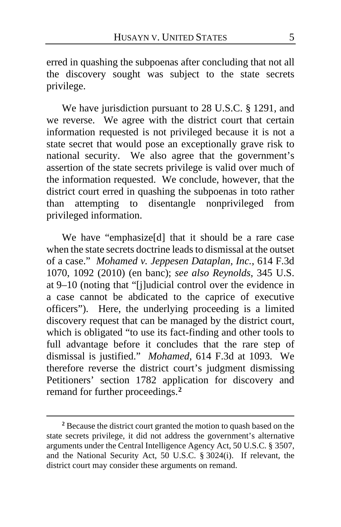erred in quashing the subpoenas after concluding that not all the discovery sought was subject to the state secrets privilege.

We have jurisdiction pursuant to 28 U.S.C. § 1291, and we reverse. We agree with the district court that certain information requested is not privileged because it is not a state secret that would pose an exceptionally grave risk to national security. We also agree that the government's assertion of the state secrets privilege is valid over much of the information requested. We conclude, however, that the district court erred in quashing the subpoenas in toto rather than attempting to disentangle nonprivileged from privileged information.

We have "emphasize[d] that it should be a rare case when the state secrets doctrine leads to dismissal at the outset of a case." *Mohamed v. Jeppesen Dataplan, Inc.*, 614 F.3d 1070, 1092 (2010) (en banc); *see also Reynolds*, 345 U.S. at 9–10 (noting that "[j]udicial control over the evidence in a case cannot be abdicated to the caprice of executive officers"). Here, the underlying proceeding is a limited discovery request that can be managed by the district court, which is obligated "to use its fact-finding and other tools to full advantage before it concludes that the rare step of dismissal is justified." *Mohamed*, 614 F.3d at 1093. We therefore reverse the district court's judgment dismissing Petitioners' section 1782 application for discovery and remand for further proceedings.**[2](#page-4-0)**

<span id="page-4-0"></span>**<sup>2</sup>** Because the district court granted the motion to quash based on the state secrets privilege, it did not address the government's alternative arguments under the Central Intelligence Agency Act, 50 U.S.C. § 3507, and the National Security Act, 50 U.S.C. § 3024(i). If relevant, the district court may consider these arguments on remand.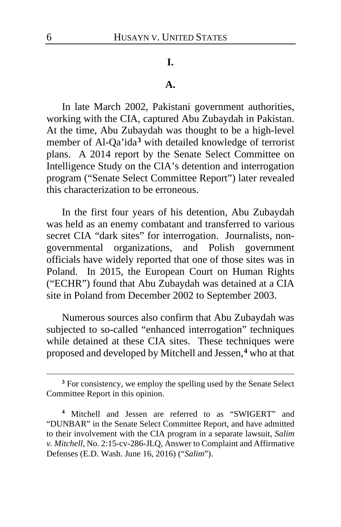## **I.**

### **A.**

In late March 2002, Pakistani government authorities, working with the CIA, captured Abu Zubaydah in Pakistan. At the time, Abu Zubaydah was thought to be a high-level member of Al-Qa'ida**[3](#page-5-0)** with detailed knowledge of terrorist plans. A 2014 report by the Senate Select Committee on Intelligence Study on the CIA's detention and interrogation program ("Senate Select Committee Report") later revealed this characterization to be erroneous.

In the first four years of his detention, Abu Zubaydah was held as an enemy combatant and transferred to various secret CIA "dark sites" for interrogation. Journalists, nongovernmental organizations, and Polish government officials have widely reported that one of those sites was in Poland. In 2015, the European Court on Human Rights ("ECHR") found that Abu Zubaydah was detained at a CIA site in Poland from December 2002 to September 2003.

Numerous sources also confirm that Abu Zubaydah was subjected to so-called "enhanced interrogation" techniques while detained at these CIA sites.These techniques were proposed and developed by Mitchell and Jessen,**[4](#page-5-1)** who at that

<span id="page-5-0"></span>**<sup>3</sup>** For consistency, we employ the spelling used by the Senate Select Committee Report in this opinion.

<span id="page-5-1"></span>**<sup>4</sup>** Mitchell and Jessen are referred to as "SWIGERT" and "DUNBAR" in the Senate Select Committee Report, and have admitted to their involvement with the CIA program in a separate lawsuit, *Salim v. Mitchell*, No. 2:15-cv-286-JLQ, Answer to Complaint and Affirmative Defenses (E.D. Wash. June 16, 2016) ("*Salim*").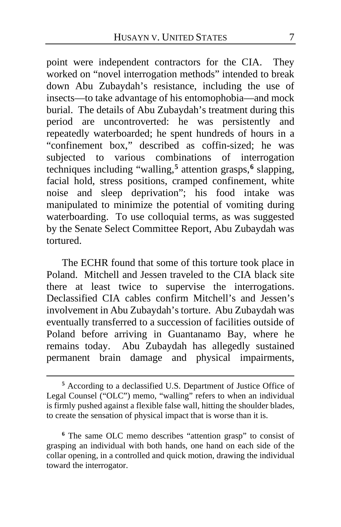point were independent contractors for the CIA. They worked on "novel interrogation methods" intended to break down Abu Zubaydah's resistance, including the use of insects—to take advantage of his entomophobia—and mock burial. The details of Abu Zubaydah's treatment during this period are uncontroverted: he was persistently and repeatedly waterboarded; he spent hundreds of hours in a "confinement box," described as coffin-sized; he was subjected to various combinations of interrogation techniques including "walling,**[5](#page-6-0)** attention grasps,**[6](#page-6-1)** slapping, facial hold, stress positions, cramped confinement, white noise and sleep deprivation"; his food intake was manipulated to minimize the potential of vomiting during waterboarding.To use colloquial terms, as was suggested by the Senate Select Committee Report, Abu Zubaydah was tortured.

The ECHR found that some of this torture took place in Poland. Mitchell and Jessen traveled to the CIA black site there at least twice to supervise the interrogations. Declassified CIA cables confirm Mitchell's and Jessen's involvement in Abu Zubaydah's torture. Abu Zubaydah was eventually transferred to a succession of facilities outside of Poland before arriving in Guantanamo Bay, where he remains today. Abu Zubaydah has allegedly sustained permanent brain damage and physical impairments,

<span id="page-6-0"></span>**<sup>5</sup>** According to a declassified U.S. Department of Justice Office of Legal Counsel ("OLC") memo, "walling" refers to when an individual is firmly pushed against a flexible false wall, hitting the shoulder blades, to create the sensation of physical impact that is worse than it is.

<span id="page-6-1"></span>**<sup>6</sup>** The same OLC memo describes "attention grasp" to consist of grasping an individual with both hands, one hand on each side of the collar opening, in a controlled and quick motion, drawing the individual toward the interrogator.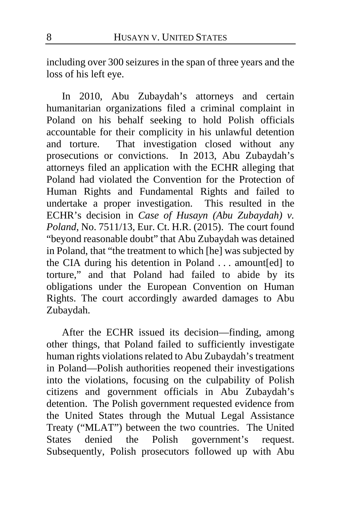including over 300 seizures in the span of three years and the loss of his left eye.

In 2010, Abu Zubaydah's attorneys and certain humanitarian organizations filed a criminal complaint in Poland on his behalf seeking to hold Polish officials accountable for their complicity in his unlawful detention<br>and torture. That investigation closed without any That investigation closed without any prosecutions or convictions. In 2013, Abu Zubaydah's attorneys filed an application with the ECHR alleging that Poland had violated the Convention for the Protection of Human Rights and Fundamental Rights and failed to undertake a proper investigation. This resulted in the ECHR's decision in *Case of Husayn (Abu Zubaydah) v. Poland*, No. 7511/13, Eur. Ct. H.R. (2015). The court found "beyond reasonable doubt" that Abu Zubaydah was detained in Poland, that "the treatment to which [he] was subjected by the CIA during his detention in Poland . . . amount[ed] to torture," and that Poland had failed to abide by its obligations under the European Convention on Human Rights. The court accordingly awarded damages to Abu Zubaydah.

After the ECHR issued its decision—finding, among other things, that Poland failed to sufficiently investigate human rights violations related to Abu Zubaydah's treatment in Poland—Polish authorities reopened their investigations into the violations, focusing on the culpability of Polish citizens and government officials in Abu Zubaydah's detention. The Polish government requested evidence from the United States through the Mutual Legal Assistance Treaty ("MLAT") between the two countries. The United States denied the Polish government's request. Subsequently, Polish prosecutors followed up with Abu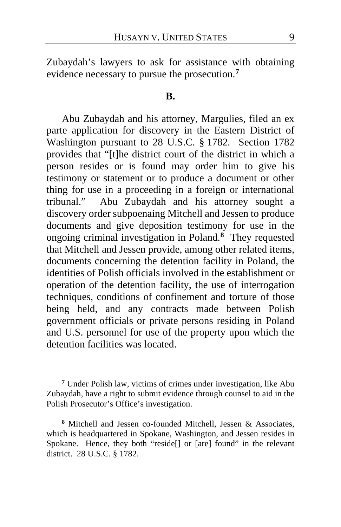Zubaydah's lawyers to ask for assistance with obtaining evidence necessary to pursue the prosecution.**[7](#page-8-0)**

### **B.**

Abu Zubaydah and his attorney, Margulies, filed an ex parte application for discovery in the Eastern District of Washington pursuant to 28 U.S.C. § 1782. Section 1782 provides that "[t]he district court of the district in which a person resides or is found may order him to give his testimony or statement or to produce a document or other thing for use in a proceeding in a foreign or international tribunal." Abu Zubaydah and his attorney sought a discovery order subpoenaing Mitchell and Jessen to produce documents and give deposition testimony for use in the ongoing criminal investigation in Poland.**[8](#page-8-1)** They requested that Mitchell and Jessen provide, among other related items, documents concerning the detention facility in Poland, the identities of Polish officials involved in the establishment or operation of the detention facility, the use of interrogation techniques, conditions of confinement and torture of those being held, and any contracts made between Polish government officials or private persons residing in Poland and U.S. personnel for use of the property upon which the detention facilities was located.

<span id="page-8-0"></span>**<sup>7</sup>** Under Polish law, victims of crimes under investigation, like Abu Zubaydah, have a right to submit evidence through counsel to aid in the Polish Prosecutor's Office's investigation.

<span id="page-8-1"></span>**<sup>8</sup>** Mitchell and Jessen co-founded Mitchell, Jessen & Associates, which is headquartered in Spokane, Washington, and Jessen resides in Spokane. Hence, they both "reside<sup>[]</sup> or [are] found" in the relevant district. 28 U.S.C. § 1782.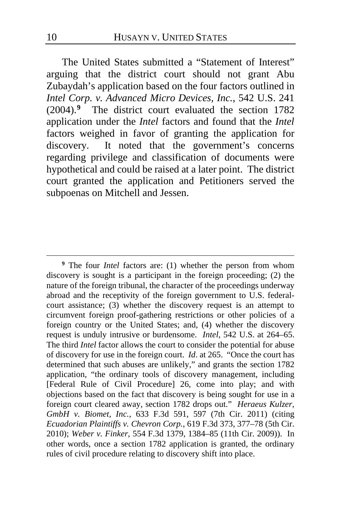The United States submitted a "Statement of Interest" arguing that the district court should not grant Abu Zubaydah's application based on the four factors outlined in *Intel Corp. v. Advanced Micro Devices, Inc.*, 542 U.S. 241 (2004).**[9](#page-9-0)** The district court evaluated the section 1782 application under the *Intel* factors and found that the *Intel* factors weighed in favor of granting the application for discovery. It noted that the government's concerns regarding privilege and classification of documents were hypothetical and could be raised at a later point. The district court granted the application and Petitioners served the subpoenas on Mitchell and Jessen.

<span id="page-9-0"></span>**<sup>9</sup>** The four *Intel* factors are: (1) whether the person from whom discovery is sought is a participant in the foreign proceeding; (2) the nature of the foreign tribunal, the character of the proceedings underway abroad and the receptivity of the foreign government to U.S. federalcourt assistance; (3) whether the discovery request is an attempt to circumvent foreign proof-gathering restrictions or other policies of a foreign country or the United States; and, (4) whether the discovery request is unduly intrusive or burdensome. *Intel*, 542 U.S. at 264–65. The third *Intel* factor allows the court to consider the potential for abuse of discovery for use in the foreign court. *Id*. at 265. "Once the court has determined that such abuses are unlikely," and grants the section 1782 application, "the ordinary tools of discovery management, including [Federal Rule of Civil Procedure] 26, come into play; and with objections based on the fact that discovery is being sought for use in a foreign court cleared away, section 1782 drops out." *Heraeus Kulzer, GmbH v. Biomet, Inc.*, 633 F.3d 591, 597 (7th Cir. 2011) (citing *Ecuadorian Plaintiffs v. Chevron Corp.*, 619 F.3d 373, 377–78 (5th Cir. 2010); *Weber v. Finker*, 554 F.3d 1379, 1384–85 (11th Cir. 2009)). In other words, once a section 1782 application is granted, the ordinary rules of civil procedure relating to discovery shift into place.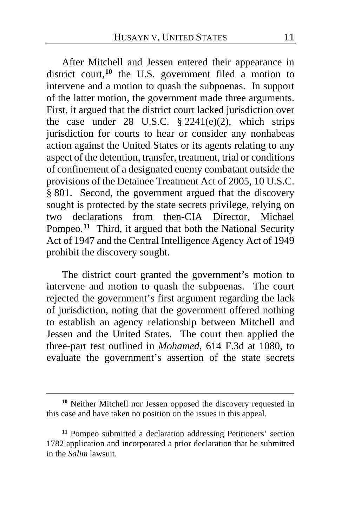After Mitchell and Jessen entered their appearance in district court,**[10](#page-10-0)** the U.S. government filed a motion to intervene and a motion to quash the subpoenas. In support of the latter motion, the government made three arguments. First, it argued that the district court lacked jurisdiction over the case under 28 U.S.C.  $\S 2241(e)(2)$ , which strips jurisdiction for courts to hear or consider any nonhabeas action against the United States or its agents relating to any aspect of the detention, transfer, treatment, trial or conditions of confinement of a designated enemy combatant outside the provisions of the Detainee Treatment Act of 2005, 10 U.S.C. § 801. Second, the government argued that the discovery sought is protected by the state secrets privilege, relying on two declarations from then-CIA Director, Michael Pompeo.**[11](#page-10-1)** Third, it argued that both the National Security Act of 1947 and the Central Intelligence Agency Act of 1949 prohibit the discovery sought.

The district court granted the government's motion to intervene and motion to quash the subpoenas. The court rejected the government's first argument regarding the lack of jurisdiction, noting that the government offered nothing to establish an agency relationship between Mitchell and Jessen and the United States. The court then applied the three-part test outlined in *Mohamed*, 614 F.3d at 1080, to evaluate the government's assertion of the state secrets

<span id="page-10-0"></span>**<sup>10</sup>** Neither Mitchell nor Jessen opposed the discovery requested in this case and have taken no position on the issues in this appeal.

<span id="page-10-1"></span>**<sup>11</sup>** Pompeo submitted a declaration addressing Petitioners' section 1782 application and incorporated a prior declaration that he submitted in the *Salim* lawsuit.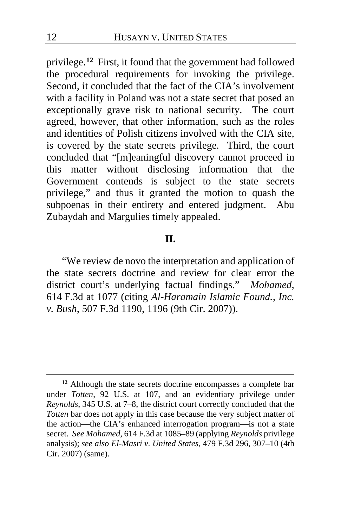privilege.**[12](#page-11-0)** First, it found that the government had followed the procedural requirements for invoking the privilege. Second, it concluded that the fact of the CIA's involvement with a facility in Poland was not a state secret that posed an exceptionally grave risk to national security. The court agreed, however, that other information, such as the roles and identities of Polish citizens involved with the CIA site, is covered by the state secrets privilege. Third, the court concluded that "[m]eaningful discovery cannot proceed in this matter without disclosing information that the Government contends is subject to the state secrets privilege," and thus it granted the motion to quash the subpoenas in their entirety and entered judgment. Abu Zubaydah and Margulies timely appealed.

## **II.**

"We review de novo the interpretation and application of the state secrets doctrine and review for clear error the district court's underlying factual findings." *Mohamed*, 614 F.3d at 1077 (citing *Al-Haramain Islamic Found., Inc. v. Bush*, 507 F.3d 1190, 1196 (9th Cir. 2007)).

<span id="page-11-0"></span>**<sup>12</sup>** Although the state secrets doctrine encompasses a complete bar under *Totten*, 92 U.S. at 107, and an evidentiary privilege under *Reynolds*, 345 U.S. at 7–8, the district court correctly concluded that the *Totten* bar does not apply in this case because the very subject matter of the action—the CIA's enhanced interrogation program—is not a state secret. *See Mohamed*, 614 F.3d at 1085–89 (applying *Reynolds* privilege analysis); *see also El-Masri v. United States*, 479 F.3d 296, 307–10 (4th Cir. 2007) (same).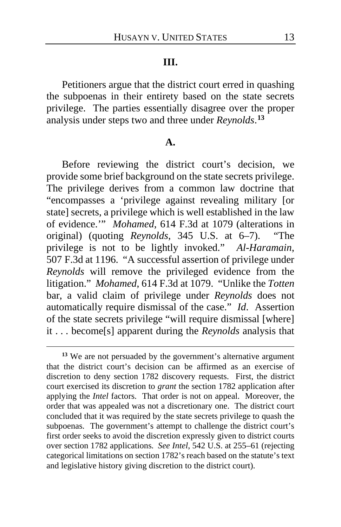#### **III.**

Petitioners argue that the district court erred in quashing the subpoenas in their entirety based on the state secrets privilege. The parties essentially disagree over the proper analysis under steps two and three under *Reynolds*. **[13](#page-12-0)**

#### **A.**

Before reviewing the district court's decision, we provide some brief background on the state secrets privilege. The privilege derives from a common law doctrine that "encompasses a 'privilege against revealing military [or state] secrets, a privilege which is well established in the law of evidence.'" *Mohamed*, 614 F.3d at 1079 (alterations in original) (quoting *Reynolds*, 345 U.S. at 6–7). "The privilege is not to be lightly invoked." *Al-Haramain*, 507 F.3d at 1196. "A successful assertion of privilege under *Reynolds* will remove the privileged evidence from the litigation." *Mohamed*, 614 F.3d at 1079. "Unlike the *Totten* bar, a valid claim of privilege under *Reynolds* does not automatically require dismissal of the case." *Id*. Assertion of the state secrets privilege "will require dismissal [where] it . . . become[s] apparent during the *Reynolds* analysis that

<span id="page-12-0"></span>**<sup>13</sup>** We are not persuaded by the government's alternative argument that the district court's decision can be affirmed as an exercise of discretion to deny section 1782 discovery requests. First, the district court exercised its discretion to *grant* the section 1782 application after applying the *Intel* factors. That order is not on appeal. Moreover, the order that was appealed was not a discretionary one. The district court concluded that it was required by the state secrets privilege to quash the subpoenas. The government's attempt to challenge the district court's first order seeks to avoid the discretion expressly given to district courts over section 1782 applications. *See Intel*, 542 U.S. at 255–61 (rejecting categorical limitations on section 1782's reach based on the statute's text and legislative history giving discretion to the district court).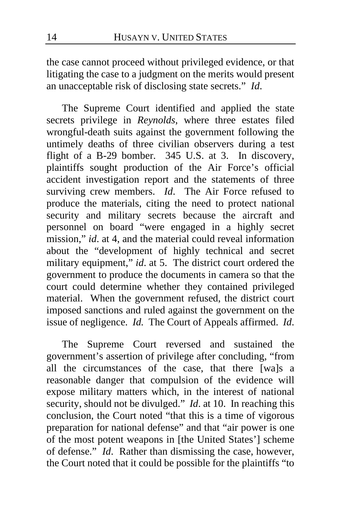the case cannot proceed without privileged evidence, or that litigating the case to a judgment on the merits would present an unacceptable risk of disclosing state secrets." *Id*.

The Supreme Court identified and applied the state secrets privilege in *Reynolds*, where three estates filed wrongful-death suits against the government following the untimely deaths of three civilian observers during a test flight of a B-29 bomber. 345 U.S. at 3. In discovery, plaintiffs sought production of the Air Force's official accident investigation report and the statements of three surviving crew members. *Id*. The Air Force refused to produce the materials, citing the need to protect national security and military secrets because the aircraft and personnel on board "were engaged in a highly secret mission," *id.* at 4, and the material could reveal information about the "development of highly technical and secret military equipment," *id*. at 5. The district court ordered the government to produce the documents in camera so that the court could determine whether they contained privileged material. When the government refused, the district court imposed sanctions and ruled against the government on the issue of negligence. *Id.* The Court of Appeals affirmed. *Id*.

The Supreme Court reversed and sustained the government's assertion of privilege after concluding, "from all the circumstances of the case, that there [wa]s a reasonable danger that compulsion of the evidence will expose military matters which, in the interest of national security, should not be divulged." *Id*. at 10. In reaching this conclusion, the Court noted "that this is a time of vigorous preparation for national defense" and that "air power is one of the most potent weapons in [the United States'] scheme of defense." *Id*. Rather than dismissing the case, however, the Court noted that it could be possible for the plaintiffs "to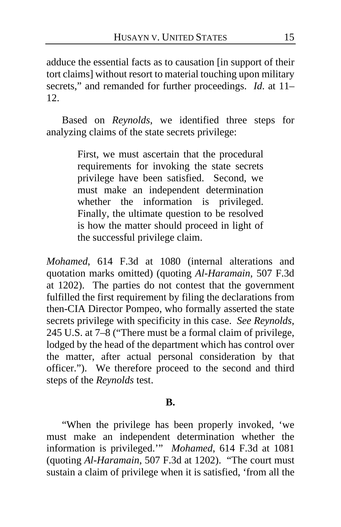adduce the essential facts as to causation [in support of their tort claims] without resort to material touching upon military secrets," and remanded for further proceedings. *Id*. at 11– 12.

Based on *Reynolds*, we identified three steps for analyzing claims of the state secrets privilege:

> First, we must ascertain that the procedural requirements for invoking the state secrets privilege have been satisfied. Second, we must make an independent determination whether the information is privileged. Finally, the ultimate question to be resolved is how the matter should proceed in light of the successful privilege claim.

*Mohamed*, 614 F.3d at 1080 (internal alterations and quotation marks omitted) (quoting *Al-Haramain*, 507 F.3d at 1202). The parties do not contest that the government fulfilled the first requirement by filing the declarations from then-CIA Director Pompeo, who formally asserted the state secrets privilege with specificity in this case. *See Reynolds*, 245 U.S. at 7–8 ("There must be a formal claim of privilege, lodged by the head of the department which has control over the matter, after actual personal consideration by that officer."). We therefore proceed to the second and third steps of the *Reynolds* test.

### **B.**

"When the privilege has been properly invoked, 'we must make an independent determination whether the information is privileged.'" *Mohamed*, 614 F.3d at 1081 (quoting *Al-Haramain*, 507 F.3d at 1202). "The court must sustain a claim of privilege when it is satisfied, 'from all the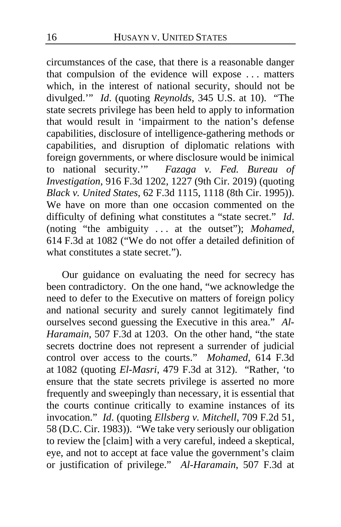circumstances of the case, that there is a reasonable danger that compulsion of the evidence will expose . . . matters which, in the interest of national security, should not be divulged.'" *Id*. (quoting *Reynolds*, 345 U.S. at 10). "The state secrets privilege has been held to apply to information that would result in 'impairment to the nation's defense capabilities, disclosure of intelligence-gathering methods or capabilities, and disruption of diplomatic relations with foreign governments, or where disclosure would be inimical to national security.'" *Fazaga v. Fed. Bureau of Investigation*, 916 F.3d 1202, 1227 (9th Cir. 2019) (quoting *Black v. United States*, 62 F.3d 1115, 1118 (8th Cir. 1995)). We have on more than one occasion commented on the difficulty of defining what constitutes a "state secret." *Id*. (noting "the ambiguity . . . at the outset"); *Mohamed*, 614 F.3d at 1082 ("We do not offer a detailed definition of what constitutes a state secret.").

Our guidance on evaluating the need for secrecy has been contradictory. On the one hand, "we acknowledge the need to defer to the Executive on matters of foreign policy and national security and surely cannot legitimately find ourselves second guessing the Executive in this area." *Al-Haramain*, 507 F.3d at 1203. On the other hand, "the state secrets doctrine does not represent a surrender of judicial control over access to the courts." *Mohamed*, 614 F.3d at 1082 (quoting *El-Masri*, 479 F.3d at 312). "Rather, 'to ensure that the state secrets privilege is asserted no more frequently and sweepingly than necessary, it is essential that the courts continue critically to examine instances of its invocation." *Id*. (quoting *Ellsberg v. Mitchell*, 709 F.2d 51, 58 (D.C. Cir. 1983)). "We take very seriously our obligation to review the [claim] with a very careful, indeed a skeptical, eye, and not to accept at face value the government's claim or justification of privilege." *Al-Haramain*, 507 F.3d at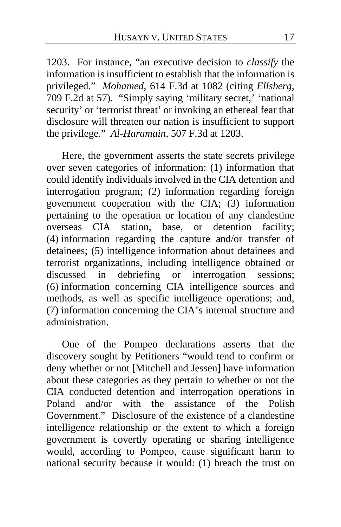1203. For instance, "an executive decision to *classify* the information is insufficient to establish that the information is privileged." *Mohamed*, 614 F.3d at 1082 (citing *Ellsberg*, 709 F.2d at 57). "Simply saying 'military secret,' 'national security' or 'terrorist threat' or invoking an ethereal fear that disclosure will threaten our nation is insufficient to support the privilege." *Al-Haramain*, 507 F.3d at 1203.

Here, the government asserts the state secrets privilege over seven categories of information: (1) information that could identify individuals involved in the CIA detention and interrogation program; (2) information regarding foreign government cooperation with the CIA; (3) information pertaining to the operation or location of any clandestine overseas CIA station, base, or detention facility; (4) information regarding the capture and/or transfer of detainees; (5) intelligence information about detainees and terrorist organizations, including intelligence obtained or discussed in debriefing or interrogation sessions; (6) information concerning CIA intelligence sources and methods, as well as specific intelligence operations; and, (7) information concerning the CIA's internal structure and administration.

One of the Pompeo declarations asserts that the discovery sought by Petitioners "would tend to confirm or deny whether or not [Mitchell and Jessen] have information about these categories as they pertain to whether or not the CIA conducted detention and interrogation operations in Poland and/or with the assistance of the Polish Government." Disclosure of the existence of a clandestine intelligence relationship or the extent to which a foreign government is covertly operating or sharing intelligence would, according to Pompeo, cause significant harm to national security because it would: (1) breach the trust on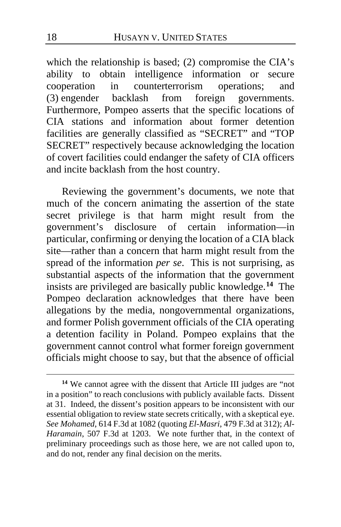which the relationship is based; (2) compromise the CIA's ability to obtain intelligence information or secure cooperation in counterterrorism operations; and cooperation in counterterrorism operations; and (3) engender backlash from foreign governments. Furthermore, Pompeo asserts that the specific locations of CIA stations and information about former detention facilities are generally classified as "SECRET" and "TOP SECRET" respectively because acknowledging the location of covert facilities could endanger the safety of CIA officers and incite backlash from the host country.

Reviewing the government's documents, we note that much of the concern animating the assertion of the state secret privilege is that harm might result from the government's disclosure of certain information—in particular, confirming or denying the location of a CIA black site—rather than a concern that harm might result from the spread of the information *per se*. This is not surprising, as substantial aspects of the information that the government insists are privileged are basically public knowledge.**[14](#page-17-0)** The Pompeo declaration acknowledges that there have been allegations by the media, nongovernmental organizations, and former Polish government officials of the CIA operating a detention facility in Poland. Pompeo explains that the government cannot control what former foreign government officials might choose to say, but that the absence of official

<span id="page-17-0"></span>**<sup>14</sup>** We cannot agree with the dissent that Article III judges are "not in a position" to reach conclusions with publicly available facts. Dissent at [31.](#page-30-0) Indeed, the dissent's position appears to be inconsistent with our essential obligation to review state secrets critically, with a skeptical eye. *See Mohamed*, 614 F.3d at 1082 (quoting *El-Masri*, 479 F.3d at 312); *Al-Haramain*, 507 F.3d at 1203. We note further that, in the context of preliminary proceedings such as those here, we are not called upon to, and do not, render any final decision on the merits.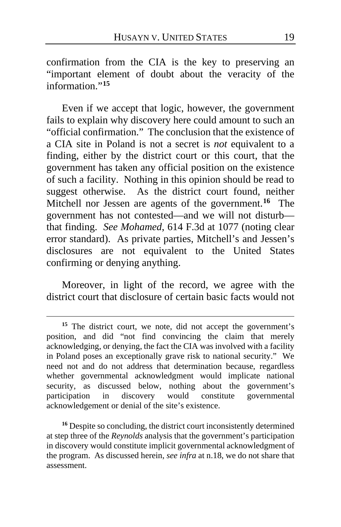confirmation from the CIA is the key to preserving an "important element of doubt about the veracity of the information."**[15](#page-18-0)**

Even if we accept that logic, however, the government fails to explain why discovery here could amount to such an "official confirmation." The conclusion that the existence of a CIA site in Poland is not a secret is *not* equivalent to a finding, either by the district court or this court, that the government has taken any official position on the existence of such a facility. Nothing in this opinion should be read to suggest otherwise. As the district court found, neither Mitchell nor Jessen are agents of the government.**[16](#page-18-1)** The government has not contested—and we will not disturb that finding. *See Mohamed*, 614 F.3d at 1077 (noting clear error standard). As private parties, Mitchell's and Jessen's disclosures are not equivalent to the United States confirming or denying anything.

Moreover, in light of the record, we agree with the district court that disclosure of certain basic facts would not

<span id="page-18-1"></span><sup>16</sup> Despite so concluding, the district court inconsistently determined at step three of the *Reynolds* analysis that the government's participation in discovery would constitute implicit governmental acknowledgment of the program. As discussed herein, *see infra* at n.18, we do not share that assessment.

<span id="page-18-0"></span><sup>&</sup>lt;sup>15</sup> The district court, we note, did not accept the government's position, and did "not find convincing the claim that merely acknowledging, or denying, the fact the CIA was involved with a facility in Poland poses an exceptionally grave risk to national security." We need not and do not address that determination because, regardless whether governmental acknowledgment would implicate national security, as discussed below, nothing about the government's participation in discovery would constitute governmental in discovery would constitute governmental acknowledgement or denial of the site's existence.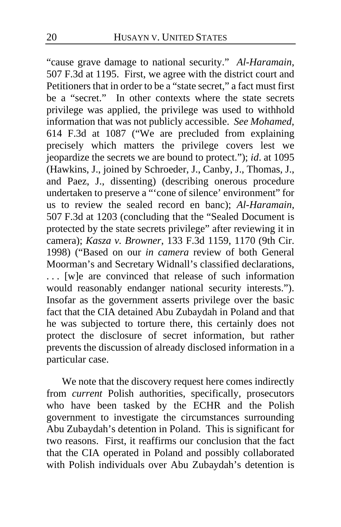"cause grave damage to national security." *Al-Haramain*, 507 F.3d at 1195. First, we agree with the district court and Petitioners that in order to be a "state secret," a fact must first be a "secret." In other contexts where the state secrets privilege was applied, the privilege was used to withhold information that was not publicly accessible. *See Mohamed*, 614 F.3d at 1087 ("We are precluded from explaining precisely which matters the privilege covers lest we jeopardize the secrets we are bound to protect."); *id*. at 1095 (Hawkins, J., joined by Schroeder, J., Canby, J., Thomas, J., and Paez, J., dissenting) (describing onerous procedure undertaken to preserve a "'cone of silence' environment" for us to review the sealed record en banc); *Al-Haramain*, 507 F.3d at 1203 (concluding that the "Sealed Document is protected by the state secrets privilege" after reviewing it in camera); *Kasza v. Browner*, 133 F.3d 1159, 1170 (9th Cir. 1998) ("Based on our *in camera* review of both General Moorman's and Secretary Widnall's classified declarations, . . . [w]e are convinced that release of such information would reasonably endanger national security interests."). Insofar as the government asserts privilege over the basic fact that the CIA detained Abu Zubaydah in Poland and that he was subjected to torture there, this certainly does not protect the disclosure of secret information, but rather prevents the discussion of already disclosed information in a particular case.

We note that the discovery request here comes indirectly from *current* Polish authorities, specifically, prosecutors who have been tasked by the ECHR and the Polish government to investigate the circumstances surrounding Abu Zubaydah's detention in Poland. This is significant for two reasons. First, it reaffirms our conclusion that the fact that the CIA operated in Poland and possibly collaborated with Polish individuals over Abu Zubaydah's detention is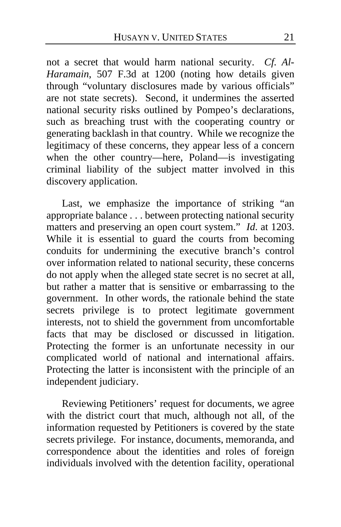not a secret that would harm national security. *Cf. Al-Haramain*, 507 F.3d at 1200 (noting how details given through "voluntary disclosures made by various officials" are not state secrets). Second, it undermines the asserted national security risks outlined by Pompeo's declarations, such as breaching trust with the cooperating country or generating backlash in that country. While we recognize the legitimacy of these concerns, they appear less of a concern when the other country—here, Poland—is investigating criminal liability of the subject matter involved in this discovery application.

Last, we emphasize the importance of striking "an appropriate balance . . . between protecting national security matters and preserving an open court system." *Id*. at 1203. While it is essential to guard the courts from becoming conduits for undermining the executive branch's control over information related to national security, these concerns do not apply when the alleged state secret is no secret at all, but rather a matter that is sensitive or embarrassing to the government. In other words, the rationale behind the state secrets privilege is to protect legitimate government interests, not to shield the government from uncomfortable facts that may be disclosed or discussed in litigation. Protecting the former is an unfortunate necessity in our complicated world of national and international affairs. Protecting the latter is inconsistent with the principle of an independent judiciary.

Reviewing Petitioners' request for documents, we agree with the district court that much, although not all, of the information requested by Petitioners is covered by the state secrets privilege. For instance, documents, memoranda, and correspondence about the identities and roles of foreign individuals involved with the detention facility, operational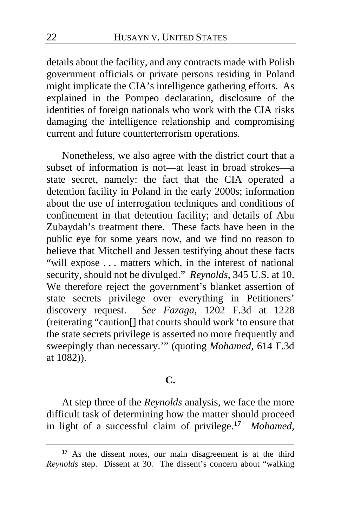details about the facility, and any contracts made with Polish government officials or private persons residing in Poland might implicate the CIA's intelligence gathering efforts. As explained in the Pompeo declaration, disclosure of the identities of foreign nationals who work with the CIA risks damaging the intelligence relationship and compromising current and future counterterrorism operations.

Nonetheless, we also agree with the district court that a subset of information is not—at least in broad strokes—a state secret, namely: the fact that the CIA operated a detention facility in Poland in the early 2000s; information about the use of interrogation techniques and conditions of confinement in that detention facility; and details of Abu Zubaydah's treatment there. These facts have been in the public eye for some years now, and we find no reason to believe that Mitchell and Jessen testifying about these facts "will expose . . . matters which, in the interest of national security, should not be divulged." *Reynolds*, 345 U.S. at 10. We therefore reject the government's blanket assertion of state secrets privilege over everything in Petitioners' discovery request. *See Fazaga*, 1202 F.3d at 1228 (reiterating "caution[] that courts should work 'to ensure that the state secrets privilege is asserted no more frequently and sweepingly than necessary.'" (quoting *Mohamed*, 614 F.3d at 1082)).

## **C.**

At step three of the *Reynolds* analysis, we face the more difficult task of determining how the matter should proceed in light of a successful claim of privilege.**[17](#page-21-0)** *Mohamed*,

<span id="page-21-0"></span>**<sup>17</sup>** As the dissent notes, our main disagreement is at the third *Reynolds* step. Dissent at [30.](#page-29-0) The dissent's concern about "walking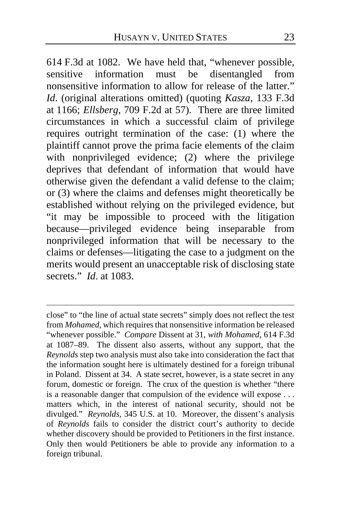614 F.3d at 1082. We have held that, "whenever possible, sensitive information must be disentangled from nonsensitive information to allow for release of the latter." *Id*. (original alterations omitted) (quoting *Kasza*, 133 F.3d at 1166; *Ellsberg*, 709 F.2d at 57). There are three limited circumstances in which a successful claim of privilege requires outright termination of the case: (1) where the plaintiff cannot prove the prima facie elements of the claim with nonprivileged evidence; (2) where the privilege deprives that defendant of information that would have otherwise given the defendant a valid defense to the claim; or (3) where the claims and defenses might theoretically be established without relying on the privileged evidence, but "it may be impossible to proceed with the litigation because—privileged evidence being inseparable from nonprivileged information that will be necessary to the claims or defenses—litigating the case to a judgment on the merits would present an unacceptable risk of disclosing state secrets." *Id*. at 1083.

close" to "the line of actual state secrets" simply does not reflect the test from *Mohamed*, which requires that nonsensitive information be released "whenever possible." *Compare* Dissent a[t 31,](#page-30-1) *with Mohamed*, 614 F.3d at 1087–89. The dissent also asserts, without any support, that the *Reynolds* step two analysis must also take into consideration the fact that the information sought here is ultimately destined for a foreign tribunal in Poland. Dissent at [34.](#page-33-0) A state secret, however, is a state secret in any forum, domestic or foreign. The crux of the question is whether "there is a reasonable danger that compulsion of the evidence will expose . . . matters which, in the interest of national security, should not be divulged." *Reynolds*, 345 U.S. at 10. Moreover, the dissent's analysis of *Reynolds* fails to consider the district court's authority to decide whether discovery should be provided to Petitioners in the first instance. Only then would Petitioners be able to provide any information to a foreign tribunal.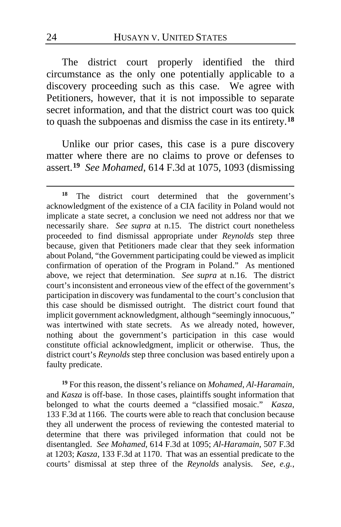The district court properly identified the third circumstance as the only one potentially applicable to a discovery proceeding such as this case. We agree with Petitioners, however, that it is not impossible to separate secret information, and that the district court was too quick to quash the subpoenas and dismiss the case in its entirety.**[18](#page-23-0)**

Unlike our prior cases, this case is a pure discovery matter where there are no claims to prove or defenses to assert.**[19](#page-23-1)** *See Mohamed*, 614 F.3d at 1075, 1093 (dismissing

<span id="page-23-1"></span>**<sup>19</sup>** For this reason, the dissent's reliance on *Mohamed*, *Al-Haramain*, and *Kasza* is off-base. In those cases, plaintiffs sought information that belonged to what the courts deemed a "classified mosaic." *Kasza*, 133 F.3d at 1166. The courts were able to reach that conclusion because they all underwent the process of reviewing the contested material to determine that there was privileged information that could not be disentangled. *See Mohamed*, 614 F.3d at 1095; *Al-Haramain*, 507 F.3d at 1203; *Kasza*, 133 F.3d at 1170. That was an essential predicate to the courts' dismissal at step three of the *Reynolds* analysis. *See, e.g.*,

<span id="page-23-0"></span>**<sup>18</sup>** The district court determined that the government's acknowledgment of the existence of a CIA facility in Poland would not implicate a state secret, a conclusion we need not address nor that we necessarily share. *See supra* at n.15. The district court nonetheless proceeded to find dismissal appropriate under *Reynolds* step three because, given that Petitioners made clear that they seek information about Poland, "the Government participating could be viewed as implicit confirmation of operation of the Program in Poland." As mentioned above, we reject that determination. *See supra* at n.16. The district court's inconsistent and erroneous view of the effect of the government's participation in discovery was fundamental to the court's conclusion that this case should be dismissed outright. The district court found that implicit government acknowledgment, although "seemingly innocuous," was intertwined with state secrets. As we already noted, however, nothing about the government's participation in this case would constitute official acknowledgment, implicit or otherwise. Thus, the district court's *Reynolds* step three conclusion was based entirely upon a faulty predicate.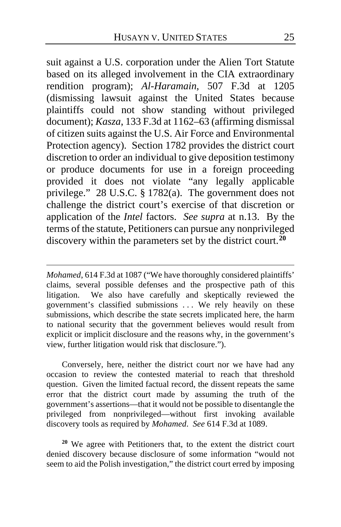suit against a U.S. corporation under the Alien Tort Statute based on its alleged involvement in the CIA extraordinary rendition program); *Al-Haramain*, 507 F.3d at 1205 (dismissing lawsuit against the United States because plaintiffs could not show standing without privileged document); *Kasza*, 133 F.3d at 1162–63 (affirming dismissal of citizen suits against the U.S. Air Force and Environmental Protection agency). Section 1782 provides the district court discretion to order an individual to give deposition testimony or produce documents for use in a foreign proceeding provided it does not violate "any legally applicable privilege." 28 U.S.C. § 1782(a). The government does not challenge the district court's exercise of that discretion or application of the *Intel* factors. *See supra* at n.13. By the terms of the statute, Petitioners can pursue any nonprivileged discovery within the parameters set by the district court.**[20](#page-24-0)**

*Mohamed*, 614 F.3d at 1087 ("We have thoroughly considered plaintiffs' claims, several possible defenses and the prospective path of this litigation. We also have carefully and skeptically reviewed the government's classified submissions . . . We rely heavily on these submissions, which describe the state secrets implicated here, the harm to national security that the government believes would result from explicit or implicit disclosure and the reasons why, in the government's view, further litigation would risk that disclosure.").

Conversely, here, neither the district court nor we have had any occasion to review the contested material to reach that threshold question. Given the limited factual record, the dissent repeats the same error that the district court made by assuming the truth of the government's assertions—that it would not be possible to disentangle the privileged from nonprivileged—without first invoking available discovery tools as required by *Mohamed*. *See* 614 F.3d at 1089.

<span id="page-24-0"></span>**<sup>20</sup>** We agree with Petitioners that, to the extent the district court denied discovery because disclosure of some information "would not seem to aid the Polish investigation," the district court erred by imposing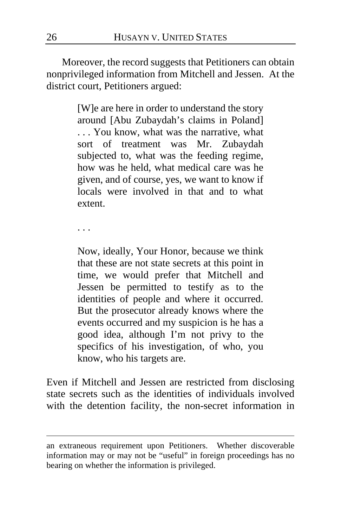Moreover, the record suggests that Petitioners can obtain nonprivileged information from Mitchell and Jessen. At the district court, Petitioners argued:

> [W]e are here in order to understand the story around [Abu Zubaydah's claims in Poland] . . . You know, what was the narrative, what sort of treatment was Mr. Zubaydah subjected to, what was the feeding regime, how was he held, what medical care was he given, and of course, yes, we want to know if locals were involved in that and to what extent.

. . .

Now, ideally, Your Honor, because we think that these are not state secrets at this point in time, we would prefer that Mitchell and Jessen be permitted to testify as to the identities of people and where it occurred. But the prosecutor already knows where the events occurred and my suspicion is he has a good idea, although I'm not privy to the specifics of his investigation, of who, you know, who his targets are.

Even if Mitchell and Jessen are restricted from disclosing state secrets such as the identities of individuals involved with the detention facility, the non-secret information in

an extraneous requirement upon Petitioners. Whether discoverable information may or may not be "useful" in foreign proceedings has no bearing on whether the information is privileged.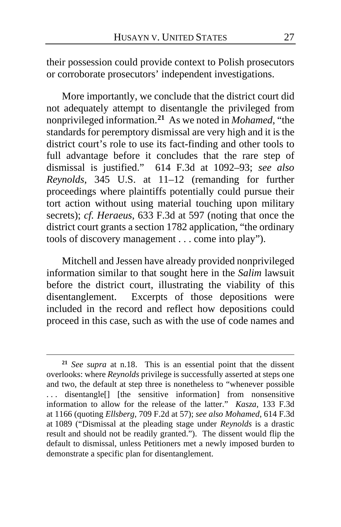their possession could provide context to Polish prosecutors or corroborate prosecutors' independent investigations.

More importantly, we conclude that the district court did not adequately attempt to disentangle the privileged from nonprivileged information.**[21](#page-26-0)** As we noted in *Mohamed*, "the standards for peremptory dismissal are very high and it is the district court's role to use its fact-finding and other tools to full advantage before it concludes that the rare step of dismissal is justified." 614 F.3d at 1092–93; *see also Reynolds*, 345 U.S. at 11–12 (remanding for further proceedings where plaintiffs potentially could pursue their tort action without using material touching upon military secrets); *cf. Heraeus*, 633 F.3d at 597 (noting that once the district court grants a section 1782 application, "the ordinary tools of discovery management . . . come into play").

Mitchell and Jessen have already provided nonprivileged information similar to that sought here in the *Salim* lawsuit before the district court, illustrating the viability of this disentanglement. Excerpts of those depositions were included in the record and reflect how depositions could proceed in this case, such as with the use of code names and

<span id="page-26-0"></span>**<sup>21</sup>** *See supra* at n.18. This is an essential point that the dissent overlooks: where *Reynolds* privilege is successfully asserted at steps one and two, the default at step three is nonetheless to "whenever possible ... disentangle<sup>[]</sup> [the sensitive information] from nonsensitive information to allow for the release of the latter." *Kasza*, 133 F.3d at 1166 (quoting *Ellsberg*, 709 F.2d at 57); *see also Mohamed*, 614 F.3d at 1089 ("Dismissal at the pleading stage under *Reynolds* is a drastic result and should not be readily granted."). The dissent would flip the default to dismissal, unless Petitioners met a newly imposed burden to demonstrate a specific plan for disentanglement.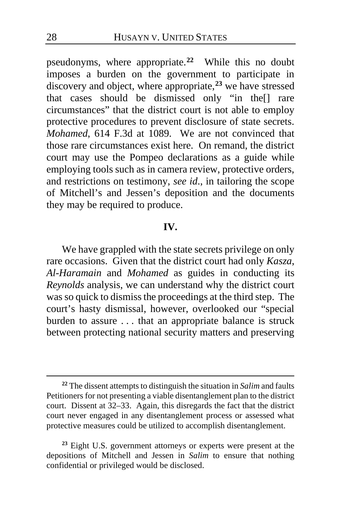pseudonyms, where appropriate.**[22](#page-27-0)** While this no doubt imposes a burden on the government to participate in discovery and object, where appropriate,**[23](#page-27-1)** we have stressed that cases should be dismissed only "in the[] rare circumstances" that the district court is not able to employ protective procedures to prevent disclosure of state secrets. *Mohamed*, 614 F.3d at 1089. We are not convinced that those rare circumstances exist here. On remand, the district court may use the Pompeo declarations as a guide while employing tools such as in camera review, protective orders, and restrictions on testimony, *see id*., in tailoring the scope of Mitchell's and Jessen's deposition and the documents they may be required to produce.

#### **IV.**

We have grappled with the state secrets privilege on only rare occasions. Given that the district court had only *Kasza*, *Al-Haramain* and *Mohamed* as guides in conducting its *Reynolds* analysis, we can understand why the district court was so quick to dismiss the proceedings at the third step. The court's hasty dismissal, however, overlooked our "special burden to assure . . . that an appropriate balance is struck between protecting national security matters and preserving

<span id="page-27-0"></span>**<sup>22</sup>** The dissent attempts to distinguish the situation in *Salim* and faults Petitioners for not presenting a viable disentanglement plan to the district court. Dissent at [32](#page-31-0)[–33.](#page-32-0) Again, this disregards the fact that the district court never engaged in any disentanglement process or assessed what protective measures could be utilized to accomplish disentanglement.

<span id="page-27-1"></span>**<sup>23</sup>** Eight U.S. government attorneys or experts were present at the depositions of Mitchell and Jessen in *Salim* to ensure that nothing confidential or privileged would be disclosed.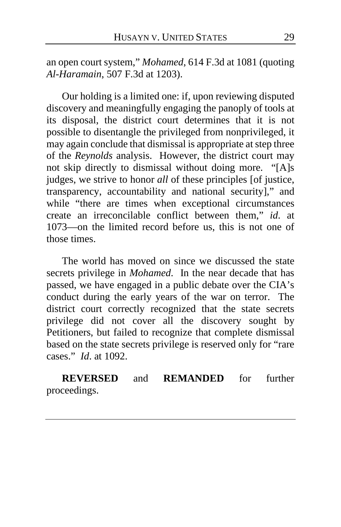an open court system," *Mohamed*, 614 F.3d at 1081 (quoting *Al-Haramain*, 507 F.3d at 1203).

Our holding is a limited one: if, upon reviewing disputed discovery and meaningfully engaging the panoply of tools at its disposal, the district court determines that it is not possible to disentangle the privileged from nonprivileged, it may again conclude that dismissal is appropriate at step three of the *Reynolds* analysis. However, the district court may not skip directly to dismissal without doing more. "[A]s judges, we strive to honor *all* of these principles [of justice, transparency, accountability and national security]," and while "there are times when exceptional circumstances create an irreconcilable conflict between them," *id*. at 1073—on the limited record before us, this is not one of those times.

The world has moved on since we discussed the state secrets privilege in *Mohamed*. In the near decade that has passed, we have engaged in a public debate over the CIA's conduct during the early years of the war on terror. The district court correctly recognized that the state secrets privilege did not cover all the discovery sought by Petitioners, but failed to recognize that complete dismissal based on the state secrets privilege is reserved only for "rare cases." *Id*. at 1092.

**REVERSED** and **REMANDED** for further proceedings.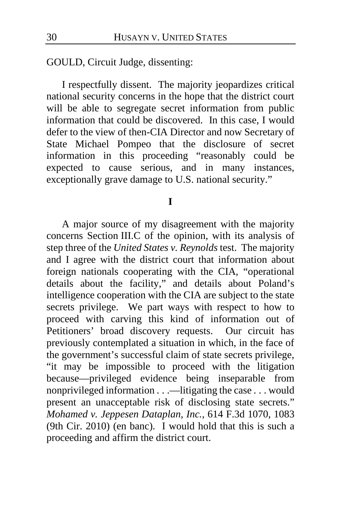GOULD, Circuit Judge, dissenting:

I respectfully dissent. The majority jeopardizes critical national security concerns in the hope that the district court will be able to segregate secret information from public information that could be discovered. In this case, I would defer to the view of then-CIA Director and now Secretary of State Michael Pompeo that the disclosure of secret information in this proceeding "reasonably could be expected to cause serious, and in many instances, exceptionally grave damage to U.S. national security."

## **I**

<span id="page-29-0"></span>A major source of my disagreement with the majority concerns Section III.C of the opinion, with its analysis of step three of the *United States v. Reynolds* test. The majority and I agree with the district court that information about foreign nationals cooperating with the CIA, "operational details about the facility," and details about Poland's intelligence cooperation with the CIA are subject to the state secrets privilege. We part ways with respect to how to proceed with carving this kind of information out of Petitioners' broad discovery requests. Our circuit has previously contemplated a situation in which, in the face of the government's successful claim of state secrets privilege, "it may be impossible to proceed with the litigation because—privileged evidence being inseparable from nonprivileged information . . .—litigating the case . . . would present an unacceptable risk of disclosing state secrets." *Mohamed v. Jeppesen Dataplan, Inc.*, 614 F.3d 1070, 1083 (9th Cir. 2010) (en banc). I would hold that this is such a proceeding and affirm the district court.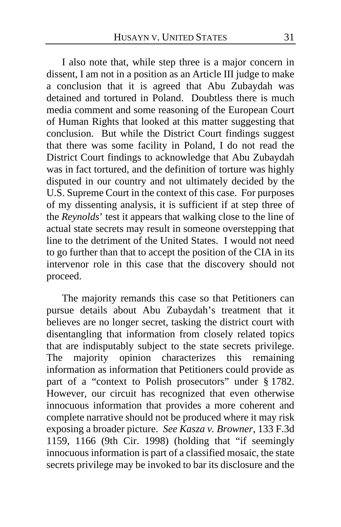<span id="page-30-0"></span>I also note that, while step three is a major concern in dissent, I am not in a position as an Article III judge to make a conclusion that it is agreed that Abu Zubaydah was detained and tortured in Poland. Doubtless there is much media comment and some reasoning of the European Court of Human Rights that looked at this matter suggesting that conclusion. But while the District Court findings suggest that there was some facility in Poland, I do not read the District Court findings to acknowledge that Abu Zubaydah was in fact tortured, and the definition of torture was highly disputed in our country and not ultimately decided by the U.S. Supreme Court in the context of this case. For purposes of my dissenting analysis, it is sufficient if at step three of the *Reynolds*' test it appears that walking close to the line of actual state secrets may result in someone overstepping that line to the detriment of the United States. I would not need to go further than that to accept the position of the CIA in its intervenor role in this case that the discovery should not proceed.

<span id="page-30-1"></span>The majority remands this case so that Petitioners can pursue details about Abu Zubaydah's treatment that it believes are no longer secret, tasking the district court with disentangling that information from closely related topics that are indisputably subject to the state secrets privilege. The majority opinion characterizes this remaining information as information that Petitioners could provide as part of a "context to Polish prosecutors" under § 1782. However, our circuit has recognized that even otherwise innocuous information that provides a more coherent and complete narrative should not be produced where it may risk exposing a broader picture. *See Kasza v. Browner*, 133 F.3d 1159, 1166 (9th Cir. 1998) (holding that "if seemingly innocuous information is part of a classified mosaic, the state secrets privilege may be invoked to bar its disclosure and the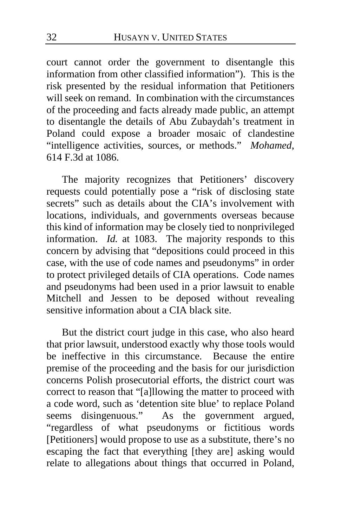court cannot order the government to disentangle this information from other classified information"). This is the risk presented by the residual information that Petitioners will seek on remand. In combination with the circumstances of the proceeding and facts already made public, an attempt to disentangle the details of Abu Zubaydah's treatment in Poland could expose a broader mosaic of clandestine "intelligence activities, sources, or methods." *Mohamed*, 614 F.3d at 1086.

The majority recognizes that Petitioners' discovery requests could potentially pose a "risk of disclosing state secrets" such as details about the CIA's involvement with locations, individuals, and governments overseas because this kind of information may be closely tied to nonprivileged information. *Id.* at 1083. The majority responds to this concern by advising that "depositions could proceed in this case, with the use of code names and pseudonyms" in order to protect privileged details of CIA operations. Code names and pseudonyms had been used in a prior lawsuit to enable Mitchell and Jessen to be deposed without revealing sensitive information about a CIA black site.

<span id="page-31-0"></span>But the district court judge in this case, who also heard that prior lawsuit, understood exactly why those tools would be ineffective in this circumstance. Because the entire premise of the proceeding and the basis for our jurisdiction concerns Polish prosecutorial efforts, the district court was correct to reason that "[a]llowing the matter to proceed with a code word, such as 'detention site blue' to replace Poland seems disingenuous." As the government argued, "regardless of what pseudonyms or fictitious words [Petitioners] would propose to use as a substitute, there's no escaping the fact that everything [they are] asking would relate to allegations about things that occurred in Poland,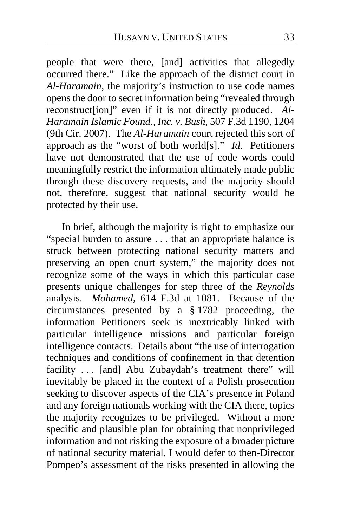people that were there, [and] activities that allegedly occurred there." Like the approach of the district court in *Al-Haramain*, the majority's instruction to use code names opens the door to secret information being "revealed through reconstruct[ion]" even if it is not directly produced. *Al-Haramain Islamic Found., Inc. v. Bush*, 507 F.3d 1190, 1204 (9th Cir. 2007). The *Al-Haramain* court rejected this sort of approach as the "worst of both world[s]." *Id*. Petitioners have not demonstrated that the use of code words could meaningfully restrict the information ultimately made public through these discovery requests, and the majority should not, therefore, suggest that national security would be protected by their use.

<span id="page-32-0"></span>In brief, although the majority is right to emphasize our "special burden to assure . . . that an appropriate balance is struck between protecting national security matters and preserving an open court system," the majority does not recognize some of the ways in which this particular case presents unique challenges for step three of the *Reynolds* analysis. *Mohamed*, 614 F.3d at 1081. Because of the circumstances presented by a § 1782 proceeding, the information Petitioners seek is inextricably linked with particular intelligence missions and particular foreign intelligence contacts. Details about "the use of interrogation techniques and conditions of confinement in that detention facility ... [and] Abu Zubaydah's treatment there" will inevitably be placed in the context of a Polish prosecution seeking to discover aspects of the CIA's presence in Poland and any foreign nationals working with the CIA there, topics the majority recognizes to be privileged. Without a more specific and plausible plan for obtaining that nonprivileged information and not risking the exposure of a broader picture of national security material, I would defer to then-Director Pompeo's assessment of the risks presented in allowing the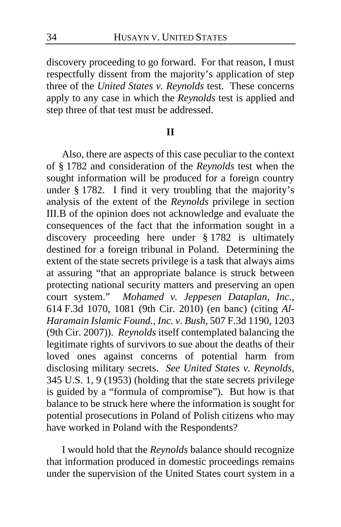discovery proceeding to go forward. For that reason, I must respectfully dissent from the majority's application of step three of the *United States v. Reynolds* test. These concerns apply to any case in which the *Reynolds* test is applied and step three of that test must be addressed.

## **II**

<span id="page-33-0"></span>Also, there are aspects of this case peculiar to the context of § 1782 and consideration of the *Reynolds* test when the sought information will be produced for a foreign country under § 1782. I find it very troubling that the majority's analysis of the extent of the *Reynolds* privilege in section III.B of the opinion does not acknowledge and evaluate the consequences of the fact that the information sought in a discovery proceeding here under § 1782 is ultimately destined for a foreign tribunal in Poland. Determining the extent of the state secrets privilege is a task that always aims at assuring "that an appropriate balance is struck between protecting national security matters and preserving an open court system." *Mohamed v. Jeppesen Dataplan, Inc.*, 614 F.3d 1070, 1081 (9th Cir. 2010) (en banc) (citing *Al-Haramain Islamic Found., Inc. v. Bush*, 507 F.3d 1190, 1203 (9th Cir. 2007)). *Reynolds* itself contemplated balancing the legitimate rights of survivors to sue about the deaths of their loved ones against concerns of potential harm from disclosing military secrets. *See United States v. Reynolds*, 345 U.S. 1, 9 (1953) (holding that the state secrets privilege is guided by a "formula of compromise"). But how is that balance to be struck here where the information is sought for potential prosecutions in Poland of Polish citizens who may have worked in Poland with the Respondents?

I would hold that the *Reynolds* balance should recognize that information produced in domestic proceedings remains under the supervision of the United States court system in a